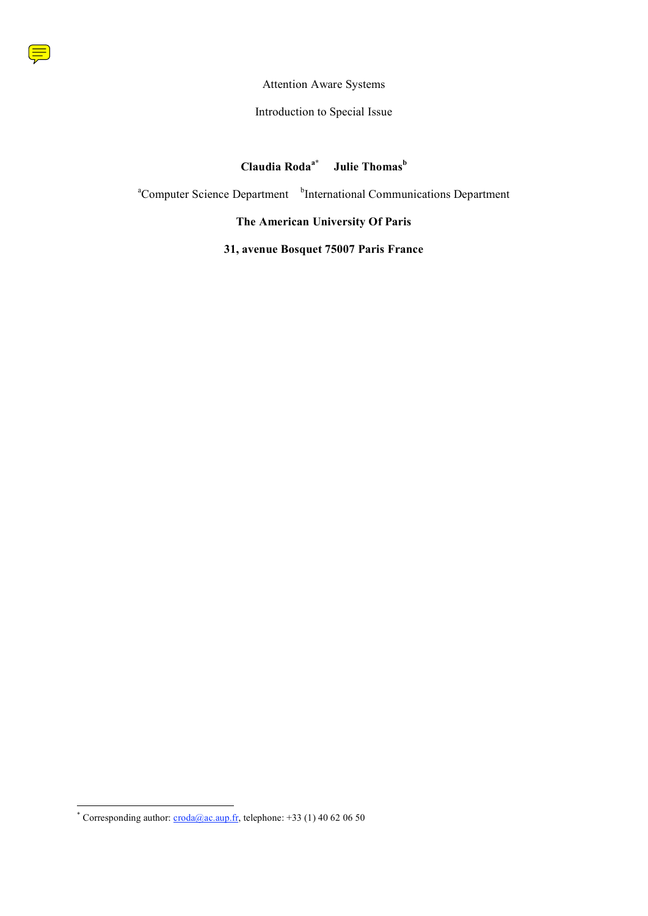

### Attention Aware Systems

### Introduction to Special Issue

#### **Claudia Rodaa\* Julie Thomas Julie Thomas**<sup>b</sup>

<sup>a</sup>Computer Science Department <sup>b</sup>International Communications Department

## **The American University Of Paris**

# **31, avenue Bosquet 75007 Paris France**

<sup>\*</sup> Corresponding author:  $\frac{c \cdot \text{rod} \cdot a}{a \cdot a}$ . telephone: +33 (1) 40 62 06 50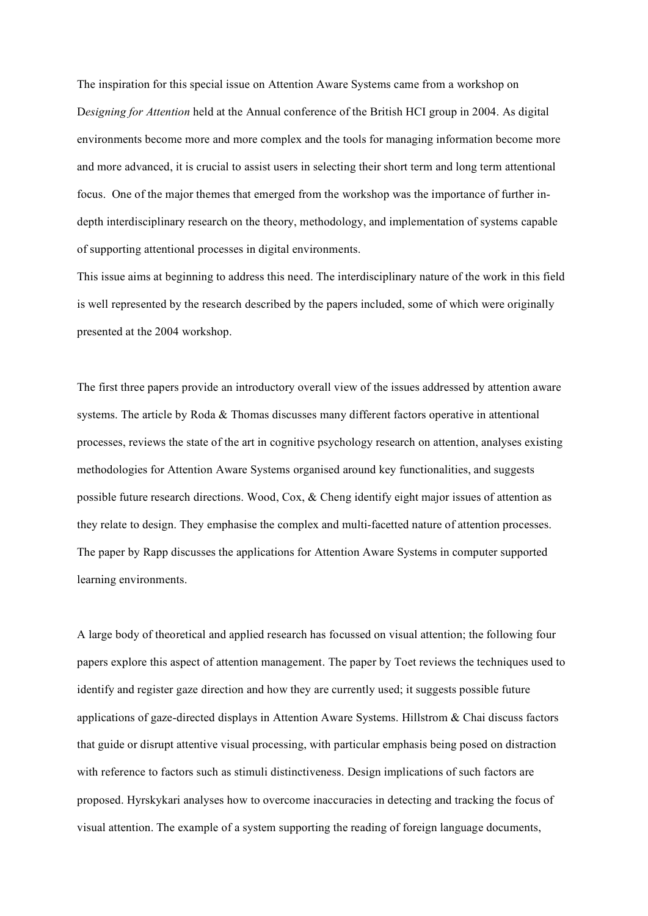The inspiration for this special issue on Attention Aware Systems came from a workshop on D*esigning for Attention* held at the Annual conference of the British HCI group in 2004. As digital environments become more and more complex and the tools for managing information become more and more advanced, it is crucial to assist users in selecting their short term and long term attentional focus. One of the major themes that emerged from the workshop was the importance of further indepth interdisciplinary research on the theory, methodology, and implementation of systems capable of supporting attentional processes in digital environments.

This issue aims at beginning to address this need. The interdisciplinary nature of the work in this field is well represented by the research described by the papers included, some of which were originally presented at the 2004 workshop.

The first three papers provide an introductory overall view of the issues addressed by attention aware systems. The article by Roda & Thomas discusses many different factors operative in attentional processes, reviews the state of the art in cognitive psychology research on attention, analyses existing methodologies for Attention Aware Systems organised around key functionalities, and suggests possible future research directions. Wood, Cox, & Cheng identify eight major issues of attention as they relate to design. They emphasise the complex and multi-facetted nature of attention processes. The paper by Rapp discusses the applications for Attention Aware Systems in computer supported learning environments.

A large body of theoretical and applied research has focussed on visual attention; the following four papers explore this aspect of attention management. The paper by Toet reviews the techniques used to identify and register gaze direction and how they are currently used; it suggests possible future applications of gaze-directed displays in Attention Aware Systems. Hillstrom & Chai discuss factors that guide or disrupt attentive visual processing, with particular emphasis being posed on distraction with reference to factors such as stimuli distinctiveness. Design implications of such factors are proposed. Hyrskykari analyses how to overcome inaccuracies in detecting and tracking the focus of visual attention. The example of a system supporting the reading of foreign language documents,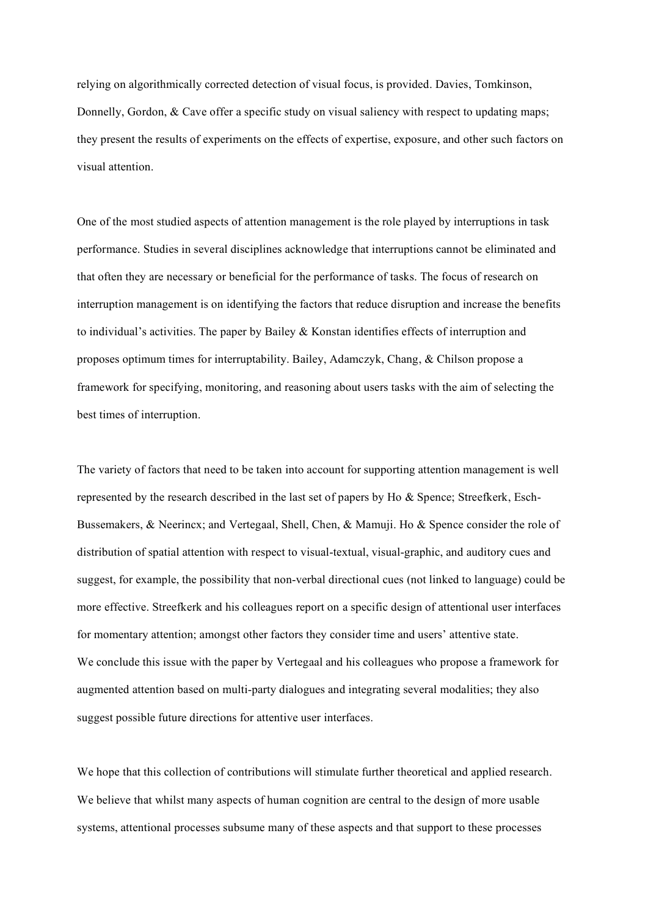relying on algorithmically corrected detection of visual focus, is provided. Davies, Tomkinson, Donnelly, Gordon, & Cave offer a specific study on visual saliency with respect to updating maps; they present the results of experiments on the effects of expertise, exposure, and other such factors on visual attention.

One of the most studied aspects of attention management is the role played by interruptions in task performance. Studies in several disciplines acknowledge that interruptions cannot be eliminated and that often they are necessary or beneficial for the performance of tasks. The focus of research on interruption management is on identifying the factors that reduce disruption and increase the benefits to individual's activities. The paper by Bailey & Konstan identifies effects of interruption and proposes optimum times for interruptability. Bailey, Adamczyk, Chang, & Chilson propose a framework for specifying, monitoring, and reasoning about users tasks with the aim of selecting the best times of interruption.

The variety of factors that need to be taken into account for supporting attention management is well represented by the research described in the last set of papers by Ho & Spence; Streefkerk, Esch-Bussemakers, & Neerincx; and Vertegaal, Shell, Chen, & Mamuji. Ho & Spence consider the role of distribution of spatial attention with respect to visual-textual, visual-graphic, and auditory cues and suggest, for example, the possibility that non-verbal directional cues (not linked to language) could be more effective. Streefkerk and his colleagues report on a specific design of attentional user interfaces for momentary attention; amongst other factors they consider time and users' attentive state. We conclude this issue with the paper by Vertegaal and his colleagues who propose a framework for augmented attention based on multi-party dialogues and integrating several modalities; they also suggest possible future directions for attentive user interfaces.

We hope that this collection of contributions will stimulate further theoretical and applied research. We believe that whilst many aspects of human cognition are central to the design of more usable systems, attentional processes subsume many of these aspects and that support to these processes